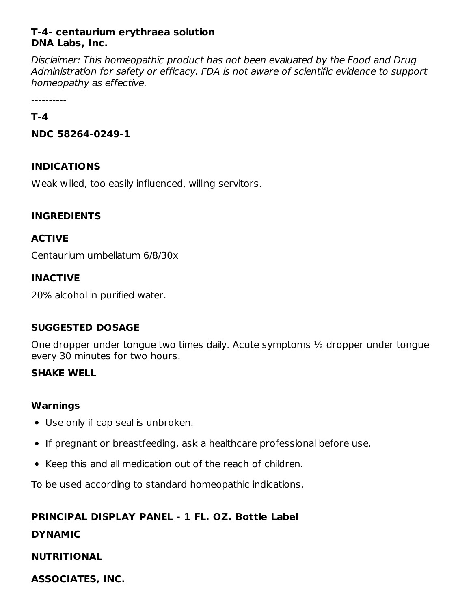## **T-4- centaurium erythraea solution DNA Labs, Inc.**

Disclaimer: This homeopathic product has not been evaluated by the Food and Drug Administration for safety or efficacy. FDA is not aware of scientific evidence to support homeopathy as effective.

----------

### **T-4**

**NDC 58264-0249-1**

## **INDICATIONS**

Weak willed, too easily influenced, willing servitors.

## **INGREDIENTS**

## **ACTIVE**

Centaurium umbellatum 6/8/30x

## **INACTIVE**

20% alcohol in purified water.

## **SUGGESTED DOSAGE**

One dropper under tongue two times daily. Acute symptoms ½ dropper under tongue every 30 minutes for two hours.

## **SHAKE WELL**

## **Warnings**

- Use only if cap seal is unbroken.
- If pregnant or breastfeeding, ask a healthcare professional before use.
- Keep this and all medication out of the reach of children.

To be used according to standard homeopathic indications.

## **PRINCIPAL DISPLAY PANEL - 1 FL. OZ. Bottle Label**

## **DYNAMIC**

## **NUTRITIONAL**

**ASSOCIATES, INC.**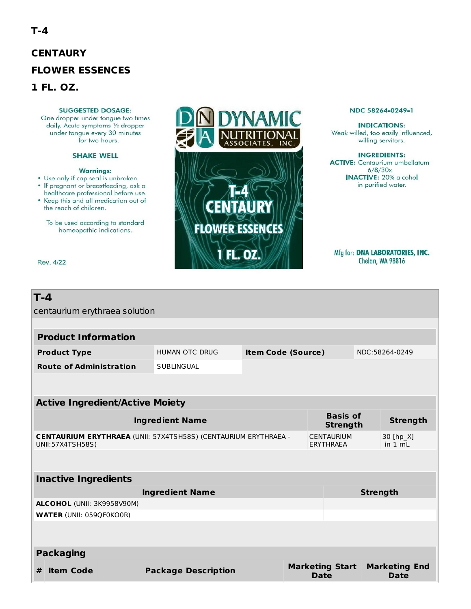# **CENTAURY FLOWER ESSENCES** 1 FL. OZ.

### **SUGGESTED DOSAGE:**

One dropper under tongue two times daily. Acute symptoms 1/2 dropper under tongue every 30 minutes for two hours.

### **SHAKE WELL**

### **Warnings:**

- Use only if cap seal is unbroken.
- · If pregnant or breastfeeding, ask a healthcare professional before use.
- Keep this and all medication out of the reach of children.

Rev. 4/22

To be used according to standard homeopathic indications.



#### NDC 58264-0249-1

**INDICATIONS:** Weak willed, too easily influenced, willing servitors.

**INGREDIENTS: ACTIVE:** Centaurium umbellatum  $6/8/30x$ **INACTIVE: 20% alcohol** in purified water.

Mfg for: DNA LABORATORIES, INC. Chelan, WA 98816

| T-4                                                                                        |                            |                           |                                       |                              |  |  |  |
|--------------------------------------------------------------------------------------------|----------------------------|---------------------------|---------------------------------------|------------------------------|--|--|--|
| centaurium erythraea solution                                                              |                            |                           |                                       |                              |  |  |  |
| <b>Product Information</b>                                                                 |                            |                           |                                       |                              |  |  |  |
| <b>Product Type</b>                                                                        | <b>HUMAN OTC DRUG</b>      | <b>Item Code (Source)</b> |                                       | NDC:58264-0249               |  |  |  |
| <b>Route of Administration</b>                                                             | <b>SUBLINGUAL</b>          |                           |                                       |                              |  |  |  |
|                                                                                            |                            |                           |                                       |                              |  |  |  |
| <b>Active Ingredient/Active Moiety</b>                                                     |                            |                           |                                       |                              |  |  |  |
| <b>Ingredient Name</b>                                                                     |                            |                           | <b>Basis of</b><br><b>Strength</b>    | <b>Strength</b>              |  |  |  |
| <b>CENTAURIUM ERYTHRAEA (UNII: 57X4TSH58S) (CENTAURIUM ERYTHRAEA -</b><br>UNII:57X4TSH58S) |                            |                           | <b>CENTAURIUM</b><br><b>ERYTHRAEA</b> | 30 [hp_X]<br>in 1 mL         |  |  |  |
|                                                                                            |                            |                           |                                       |                              |  |  |  |
| <b>Inactive Ingredients</b>                                                                |                            |                           |                                       |                              |  |  |  |
| <b>Ingredient Name</b>                                                                     |                            |                           |                                       | <b>Strength</b>              |  |  |  |
| <b>ALCOHOL (UNII: 3K9958V90M)</b>                                                          |                            |                           |                                       |                              |  |  |  |
| <b>WATER (UNII: 059QF0KO0R)</b>                                                            |                            |                           |                                       |                              |  |  |  |
|                                                                                            |                            |                           |                                       |                              |  |  |  |
| <b>Packaging</b>                                                                           |                            |                           |                                       |                              |  |  |  |
| <b>Item Code</b><br>#                                                                      | <b>Package Description</b> |                           | <b>Marketing Start</b><br><b>Date</b> | <b>Marketing End</b><br>Date |  |  |  |